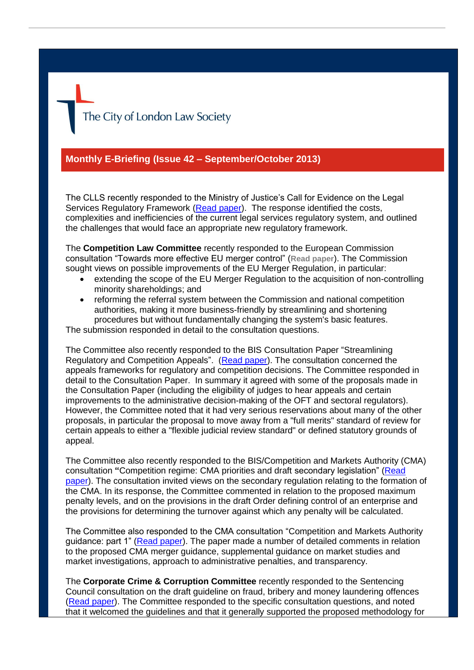The City of London Law Society

## **Monthly E-Briefing (Issue 42 – September/October 2013)**

The CLLS recently responded to the Ministry of Justice's Call for Evidence on the Legal Services Regulatory Framework [\(Read paper\)](http://www.citysolicitors.org.uk/attachments/article/108/20130906-CLLS-response-to-MOJ-Review-of-Legal-Services-Regulation-(final).pdf). The response identified the costs, complexities and inefficiencies of the current legal services regulatory system, and outlined the challenges that would face an appropriate new regulatory framework.

The **Competition Law Committee** recently responded to the European Commission consultation "Towards more effective EU merger control" (**[Read paper](http://www.citysolicitors.org.uk/attachments/category/108/20130911%20CLLS%20EUMR%20Minority%20Interests%20Consultation%20Response.pdf)**). The Commission sought views on possible improvements of the EU Merger Regulation, in particular:

- extending the scope of the EU Merger Regulation to the acquisition of non-controlling minority shareholdings; and
- reforming the referral system between the Commission and national competition authorities, making it more business-friendly by streamlining and shortening procedures but without fundamentally changing the system's basic features.

The submission responded in detail to the consultation questions.

The Committee also recently responded to the BIS Consultation Paper "Streamlining Regulatory and Competition Appeals". [\(Read paper\)](http://www.citysolicitors.org.uk/attachments/category/108/20130909%20CLLS%20Competition%20Law%20Committee%20response%20to%20BIS%20consultation%20Streamlining%20Regulatory%20and%20Competition%20Appeals%20(final).pdf). The consultation concerned the appeals frameworks for regulatory and competition decisions. The Committee responded in detail to the Consultation Paper. In summary it agreed with some of the proposals made in the Consultation Paper (including the eligibility of judges to hear appeals and certain improvements to the administrative decision-making of the OFT and sectoral regulators). However, the Committee noted that it had very serious reservations about many of the other proposals, in particular the proposal to move away from a "full merits" standard of review for certain appeals to either a "flexible judicial review standard" or defined statutory grounds of appeal.

The Committee also recently responded to the BIS/Competition and Markets Authority (CMA) consultation **"**Competition regime: CMA priorities and draft secondary legislation" [\(Read](http://www.citysolicitors.org.uk/attachments/category/108/20130916%20LN01DOCS%20290809-v1-BIS_response_re_Admin_Penalties.pdf)  [paper\)](http://www.citysolicitors.org.uk/attachments/category/108/20130916%20LN01DOCS%20290809-v1-BIS_response_re_Admin_Penalties.pdf). The consultation invited views on the secondary regulation relating to the formation of the CMA. In its response, the Committee commented in relation to the proposed maximum penalty levels, and on the provisions in the draft Order defining control of an enterprise and the provisions for determining the turnover against which any penalty will be calculated.

The Committee also responded to the CMA consultation "Competition and Markets Authority guidance: part 1" [\(Read paper\)](http://www.citysolicitors.org.uk/attachments/category/108/20130913%20LN01DOCS290717-v2-CLLS_Response_to_CMA_Guidance_Documents.pdf). The paper made a number of detailed comments in relation to the proposed CMA merger guidance, supplemental guidance on market studies and market investigations, approach to administrative penalties, and transparency.

The **Corporate Crime & Corruption Committee** recently responded to the Sentencing Council consultation on the draft guideline on fraud, bribery and money laundering offences [\(Read paper\)](http://www.citysolicitors.org.uk/attachments/category/120/20131004%20CLLS%20response%20to%20Sentencing%20Council%20consultation%20on%20the%20draft%20guideline%20on%20fraud%20bribery%20and%20money%20laundering%20offences%20(final).pdf). The Committee responded to the specific consultation questions, and noted that it welcomed the guidelines and that it generally supported the proposed methodology for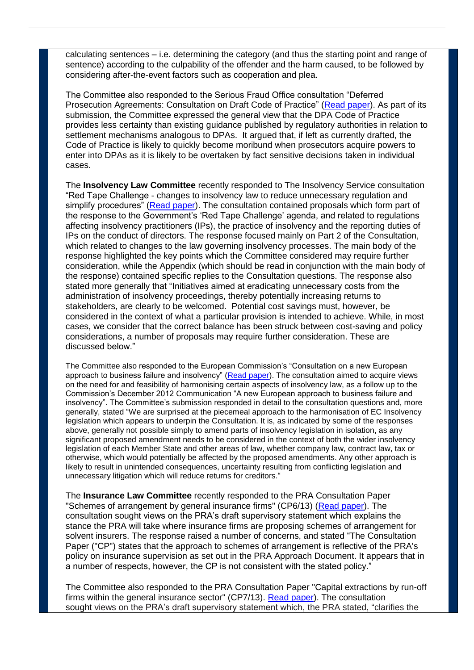calculating sentences – i.e. determining the category (and thus the starting point and range of sentence) according to the culpability of the offender and the harm caused, to be followed by considering after-the-event factors such as cooperation and plea.

The Committee also responded to the Serious Fraud Office consultation "Deferred Prosecution Agreements: Consultation on Draft Code of Practice" [\(Read paper\)](http://www.citysolicitors.org.uk/attachments/category/120/20130918%20CCC%20response%20to%20consultation%20on%20DPA%20draft%20code%20of%20practice.pdf). As part of its submission, the Committee expressed the general view that the DPA Code of Practice provides less certainty than existing guidance published by regulatory authorities in relation to settlement mechanisms analogous to DPAs. It argued that, if left as currently drafted, the Code of Practice is likely to quickly become moribund when prosecutors acquire powers to enter into DPAs as it is likely to be overtaken by fact sensitive decisions taken in individual cases.

The **Insolvency Law Committee** recently responded to The Insolvency Service consultation "Red Tape Challenge - changes to insolvency law to reduce unnecessary regulation and simplify procedures" [\(Read paper\)](http://www.citysolicitors.org.uk/attachments/article/119/20131011%20Red%20Tape%20Challenge%20consultation%20responses%20Oct%202013.pdf). The consultation contained proposals which form part of the response to the Government's 'Red Tape Challenge' agenda, and related to regulations affecting insolvency practitioners (IPs), the practice of insolvency and the reporting duties of IPs on the conduct of directors. The response focused mainly on Part 2 of the Consultation, which related to changes to the law governing insolvency processes. The main body of the response highlighted the key points which the Committee considered may require further consideration, while the Appendix (which should be read in conjunction with the main body of the response) contained specific replies to the Consultation questions. The response also stated more generally that "Initiatives aimed at eradicating unnecessary costs from the administration of insolvency proceedings, thereby potentially increasing returns to stakeholders, are clearly to be welcomed. Potential cost savings must, however, be considered in the context of what a particular provision is intended to achieve. While, in most cases, we consider that the correct balance has been struck between cost-saving and policy considerations, a number of proposals may require further consideration. These are discussed below."

The Committee also responded to the European Commission's "Consultation on a new European approach to business failure and insolvency" [\(Read paper\)](http://www.citysolicitors.org.uk/attachments/article/119/20131016%20Riders%20to%20Consultation%20European%20approach%20to%20business%20failure%20and%20insolvency%20Oct%202013.pdf). The consultation aimed to acquire views on the need for and feasibility of harmonising certain aspects of insolvency law, as a follow up to the Commission's December 2012 Communication "A new European approach to business failure and insolvency". The Committee's submission responded in detail to the consultation questions and, more generally, stated "We are surprised at the piecemeal approach to the harmonisation of EC Insolvency legislation which appears to underpin the Consultation. It is, as indicated by some of the responses above, generally not possible simply to amend parts of insolvency legislation in isolation, as any significant proposed amendment needs to be considered in the context of both the wider insolvency legislation of each Member State and other areas of law, whether company law, contract law, tax or otherwise, which would potentially be affected by the proposed amendments. Any other approach is likely to result in unintended consequences, uncertainty resulting from conflicting legislation and unnecessary litigation which will reduce returns for creditors."

The **Insurance Law Committee** recently responded to the PRA Consultation Paper "Schemes of arrangement by general insurance firms" (CP6/13) [\(Read paper\)](http://www.citysolicitors.org.uk/attachments/article/117/20131025%20CLLS%20Insurance%20Law%20Committee%20Response%20to%20PRA%20Consultation%20Paper%20CP6-13%20(2).pdf). The consultation sought views on the PRA's draft supervisory statement which explains the stance the PRA will take where insurance firms are proposing schemes of arrangement for solvent insurers. The response raised a number of concerns, and stated "The Consultation Paper ("CP") states that the approach to schemes of arrangement is reflective of the PRA's policy on insurance supervision as set out in the PRA Approach Document. It appears that in a number of respects, however, the CP is not consistent with the stated policy."

The Committee also responded to the PRA Consultation Paper "Capital extractions by run-off firms within the general insurance sector" (CP7/13). [Read paper\)](http://www.citysolicitors.org.uk/attachments/article/117/20131025%20CLLS%20Insurance%20Law%20Committee%20Response%20to%20PRA%20Consultation%20Paper%20CP7-13.pdf). The consultation sought views on the PRA's draft supervisory statement which, the PRA stated, "clarifies the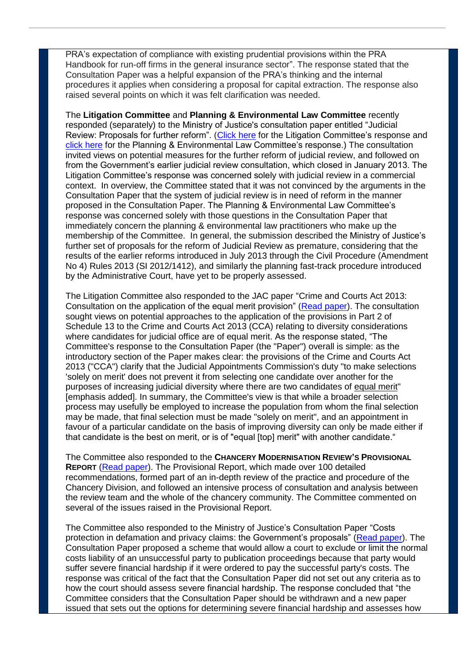PRA's expectation of compliance with existing prudential provisions within the PRA Handbook for run-off firms in the general insurance sector". The response stated that the Consultation Paper was a helpful expansion of the PRA's thinking and the internal procedures it applies when considering a proposal for capital extraction. The response also raised several points on which it was felt clarification was needed.

The **Litigation Committee** and **Planning & Environmental Law Committee** recently responded (separately) to the Ministry of Justice's consultation paper entitled "Judicial Review: Proposals for further reform". [\(Click here](http://www.citysolicitors.org.uk/attachments/article/112/20131028%20CLLS%20response%20to%20MoJ%20consultation%20paper%20Judicial%20Review%20Proposals%20for%20Reform.pdf) for the Litigation Committee's response and [click here](http://www.citysolicitors.org.uk/attachments/article/109/20131101%20CLLS%20response%20to%20MoJ%20further%20consultation%20) for the Planning & Environmental Law Committee's response.) The consultation invited views on potential measures for the further reform of judicial review, and followed on from the Government's earlier judicial review consultation, which closed in January 2013. The Litigation Committee's response was concerned solely with judicial review in a commercial context. In overview, the Committee stated that it was not convinced by the arguments in the Consultation Paper that the system of judicial review is in need of reform in the manner proposed in the Consultation Paper. The Planning & Environmental Law Committee's response was concerned solely with those questions in the Consultation Paper that immediately concern the planning & environmental law practitioners who make up the membership of the Committee. In general, the submission described the Ministry of Justice's further set of proposals for the reform of Judicial Review as premature, considering that the results of the earlier reforms introduced in July 2013 through the Civil Procedure (Amendment No 4) Rules 2013 (SI 2012/1412), and similarly the planning fast-track procedure introduced by the Administrative Court, have yet to be properly assessed.

The Litigation Committee also responded to the JAC paper "Crime and Courts Act 2013: Consultation on the application of the equal merit provision" [\(Read paper\)](http://www.citysolicitors.org.uk/attachments/article/112/JAC%20cosultation%20on%20equal%20merit%2035243-5-87%20v0%201.pdf). The consultation sought views on potential approaches to the application of the provisions in Part 2 of Schedule 13 to the Crime and Courts Act 2013 (CCA) relating to diversity considerations where candidates for judicial office are of equal merit. As the response stated, "The Committee's response to the Consultation Paper (the "Paper") overall is simple: as the introductory section of the Paper makes clear: the provisions of the Crime and Courts Act 2013 ("CCA") clarify that the Judicial Appointments Commission's duty "to make selections 'solely on merit' does not prevent it from selecting one candidate over another for the purposes of increasing judicial diversity where there are two candidates of equal merit" [emphasis added]. In summary, the Committee's view is that while a broader selection process may usefully be employed to increase the population from whom the final selection may be made, that final selection must be made "solely on merit", and an appointment in favour of a particular candidate on the basis of improving diversity can only be made either if that candidate is the best on merit, or is of "equal [top] merit" with another candidate."

The Committee also responded to the **CHANCERY MODERNISATION REVIEW'S PROVISIONAL REPORT** [\(Read paper\)](http://www.citysolicitors.org.uk/attachments/article/112/20131028%20CLLS%20response%20to%20Chancery%20Modernisation%20Review%20Provisional%20Report%2035243-5-95%20v0%2011.pdf). The Provisional Report, which made over 100 detailed recommendations, formed part of an in-depth review of the practice and procedure of the Chancery Division, and followed an intensive process of consultation and analysis between the review team and the whole of the chancery community. The Committee commented on several of the issues raised in the Provisional Report.

The Committee also responded to the Ministry of Justice's Consultation Paper "Costs protection in defamation and privacy claims: the Government's proposals" [\(Read paper\)](http://www.citysolicitors.org.uk/attachments/article/112/20131030%20CLLS%20response%20to%20MoJ%20consultation%20paper%20on%20costs%20protection%20in%20defamation%20and%20privacy%20claims%2035243-5-99%20v0%201%20(2).pdf). The Consultation Paper proposed a scheme that would allow a court to exclude or limit the normal costs liability of an unsuccessful party to publication proceedings because that party would suffer severe financial hardship if it were ordered to pay the successful party's costs. The response was critical of the fact that the Consultation Paper did not set out any criteria as to how the court should assess severe financial hardship. The response concluded that "the Committee considers that the Consultation Paper should be withdrawn and a new paper issued that sets out the options for determining severe financial hardship and assesses how